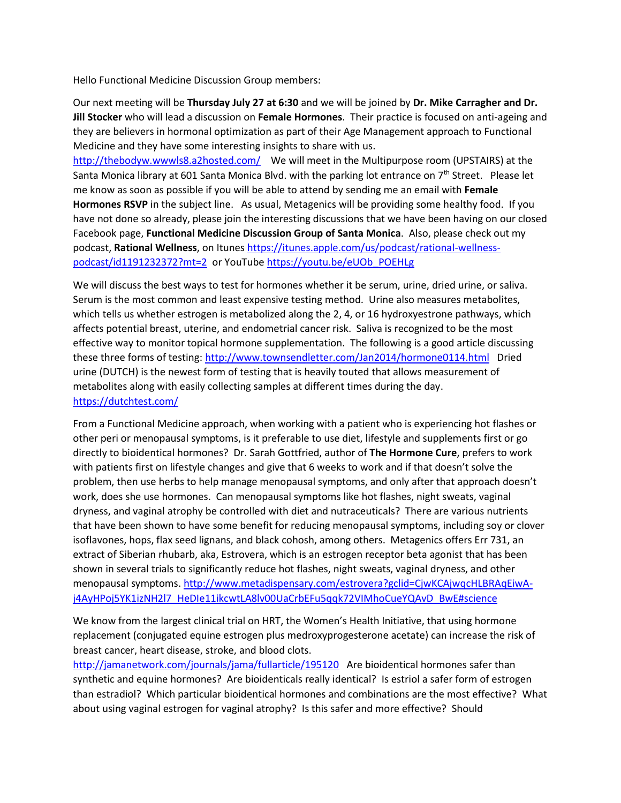Hello Functional Medicine Discussion Group members:

Our next meeting will be **Thursday July 27 at 6:30** and we will be joined by **Dr. Mike Carragher and Dr. Jill Stocker** who will lead a discussion on **Female Hormones**. Their practice is focused on anti-ageing and they are believers in hormonal optimization as part of their Age Management approach to Functional Medicine and they have some interesting insights to share with us.

<http://thebodyw.wwwls8.a2hosted.com/> We will meet in the Multipurpose room (UPSTAIRS) at the Santa Monica library at 601 Santa Monica Blvd. with the parking lot entrance on 7<sup>th</sup> Street. Please let me know as soon as possible if you will be able to attend by sending me an email with **Female Hormones RSVP** in the subject line. As usual, Metagenics will be providing some healthy food. If you have not done so already, please join the interesting discussions that we have been having on our closed Facebook page, **Functional Medicine Discussion Group of Santa Monica**. Also, please check out my podcast, **Rational Wellness**, on Itunes [https://itunes.apple.com/us/podcast/rational-wellness](https://itunes.apple.com/us/podcast/rational-wellness-podcast/id1191232372?mt=2)[podcast/id1191232372?mt=2](https://itunes.apple.com/us/podcast/rational-wellness-podcast/id1191232372?mt=2) or YouTube [https://youtu.be/eUOb\\_POEHLg](https://youtu.be/eUOb_POEHLg)

We will discuss the best ways to test for hormones whether it be serum, urine, dried urine, or saliva. Serum is the most common and least expensive testing method. Urine also measures metabolites, which tells us whether estrogen is metabolized along the 2, 4, or 16 hydroxyestrone pathways, which affects potential breast, uterine, and endometrial cancer risk. Saliva is recognized to be the most effective way to monitor topical hormone supplementation. The following is a good article discussing these three forms of testing:<http://www.townsendletter.com/Jan2014/hormone0114.html>Dried urine (DUTCH) is the newest form of testing that is heavily touted that allows measurement of metabolites along with easily collecting samples at different times during the day. <https://dutchtest.com/>

From a Functional Medicine approach, when working with a patient who is experiencing hot flashes or other peri or menopausal symptoms, is it preferable to use diet, lifestyle and supplements first or go directly to bioidentical hormones? Dr. Sarah Gottfried, author of **The Hormone Cure**, prefers to work with patients first on lifestyle changes and give that 6 weeks to work and if that doesn't solve the problem, then use herbs to help manage menopausal symptoms, and only after that approach doesn't work, does she use hormones. Can menopausal symptoms like hot flashes, night sweats, vaginal dryness, and vaginal atrophy be controlled with diet and nutraceuticals? There are various nutrients that have been shown to have some benefit for reducing menopausal symptoms, including soy or clover isoflavones, hops, flax seed lignans, and black cohosh, among others. Metagenics offers Err 731, an extract of Siberian rhubarb, aka, Estrovera, which is an estrogen receptor beta agonist that has been shown in several trials to significantly reduce hot flashes, night sweats, vaginal dryness, and other menopausal symptoms. [http://www.metadispensary.com/estrovera?gclid=CjwKCAjwqcHLBRAqEiwA](http://www.metadispensary.com/estrovera?gclid=CjwKCAjwqcHLBRAqEiwA-j4AyHPoj5YK1izNH2l7_HeDIe11ikcwtLA8lv00UaCrbEFu5qqk72VIMhoCueYQAvD_BwE#science)[j4AyHPoj5YK1izNH2l7\\_HeDIe11ikcwtLA8lv00UaCrbEFu5qqk72VIMhoCueYQAvD\\_BwE#science](http://www.metadispensary.com/estrovera?gclid=CjwKCAjwqcHLBRAqEiwA-j4AyHPoj5YK1izNH2l7_HeDIe11ikcwtLA8lv00UaCrbEFu5qqk72VIMhoCueYQAvD_BwE#science)

We know from the largest clinical trial on HRT, the Women's Health Initiative, that using hormone replacement (conjugated equine estrogen plus medroxyprogesterone acetate) can increase the risk of breast cancer, heart disease, stroke, and blood clots.

<http://jamanetwork.com/journals/jama/fullarticle/195120> Are bioidentical hormones safer than synthetic and equine hormones? Are bioidenticals really identical? Is estriol a safer form of estrogen than estradiol? Which particular bioidentical hormones and combinations are the most effective? What about using vaginal estrogen for vaginal atrophy? Is this safer and more effective? Should